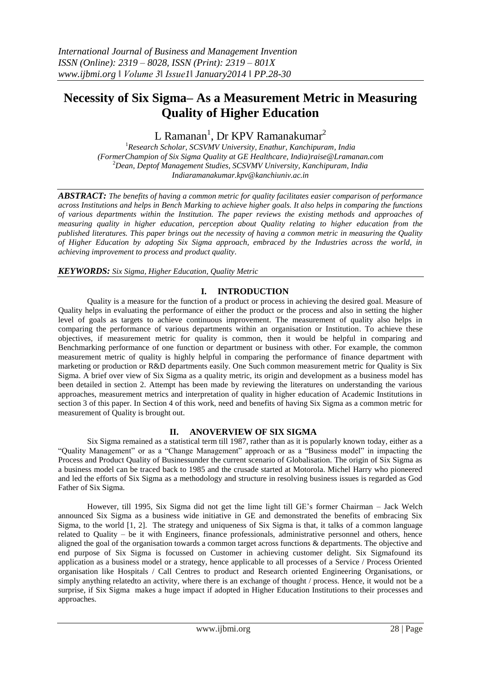# **Necessity of Six Sigma– As a Measurement Metric in Measuring Quality of Higher Education**

 $\tt L$  Ramanan $^1$ , Dr KPV Ramanakumar $^2$ 

<sup>1</sup>*Research Scholar, SCSVMV University, Enathur, Kanchipuram, India (FormerChampion of Six Sigma Quality at GE Healthcare, India)raise@Lramanan.com* <sup>2</sup>*Dean, Deptof Management Studies, SCSVMV University, Kanchipuram, India Indiaramanakumar.kpv@kanchiuniv.ac.in*

*ABSTRACT: The benefits of having a common metric for quality facilitates easier comparison of performance across Institutions and helps in Bench Marking to achieve higher goals. It also helps in comparing the functions of various departments within the Institution. The paper reviews the existing methods and approaches of measuring quality in higher education, perception about Quality relating to higher education from the published literatures. This paper brings out the necessity of having a common metric in measuring the Quality of Higher Education by adopting Six Sigma approach, embraced by the Industries across the world, in achieving improvement to process and product quality*.

*KEYWORDS: Six Sigma, Higher Education, Quality Metric* 

## **I. INTRODUCTION**

Quality is a measure for the function of a product or process in achieving the desired goal. Measure of Quality helps in evaluating the performance of either the product or the process and also in setting the higher level of goals as targets to achieve continuous improvement. The measurement of quality also helps in comparing the performance of various departments within an organisation or Institution. To achieve these objectives, if measurement metric for quality is common, then it would be helpful in comparing and Benchmarking performance of one function or department or business with other. For example, the common measurement metric of quality is highly helpful in comparing the performance of finance department with marketing or production or R&D departments easily. One Such common measurement metric for Quality is Six Sigma. A brief over view of Six Sigma as a quality metric, its origin and development as a business model has been detailed in section 2. Attempt has been made by reviewing the literatures on understanding the various approaches, measurement metrics and interpretation of quality in higher education of Academic Institutions in section 3 of this paper. In Section 4 of this work, need and benefits of having Six Sigma as a common metric for measurement of Quality is brought out.

#### **II. ANOVERVIEW OF SIX SIGMA**

Six Sigma remained as a statistical term till 1987, rather than as it is popularly known today, either as a "Quality Management" or as a "Change Management" approach or as a "Business model" in impacting the Process and Product Quality of Businessunder the current scenario of Globalisation. The origin of Six Sigma as a business model can be traced back to 1985 and the crusade started at Motorola. Michel Harry who pioneered and led the efforts of Six Sigma as a methodology and structure in resolving business issues is regarded as God Father of Six Sigma.

However, till 1995, Six Sigma did not get the lime light till GE's former Chairman – Jack Welch announced Six Sigma as a business wide initiative in GE and demonstrated the benefits of embracing Six Sigma, to the world [1, 2]. The strategy and uniqueness of Six Sigma is that, it talks of a common language related to Quality – be it with Engineers, finance professionals, administrative personnel and others, hence aligned the goal of the organisation towards a common target across functions & departments. The objective and end purpose of Six Sigma is focussed on Customer in achieving customer delight. Six Sigmafound its application as a business model or a strategy, hence applicable to all processes of a Service / Process Oriented organisation like Hospitals / Call Centres to product and Research oriented Engineering Organisations, or simply anything relatedto an activity, where there is an exchange of thought / process. Hence, it would not be a surprise, if Six Sigma makes a huge impact if adopted in Higher Education Institutions to their processes and approaches.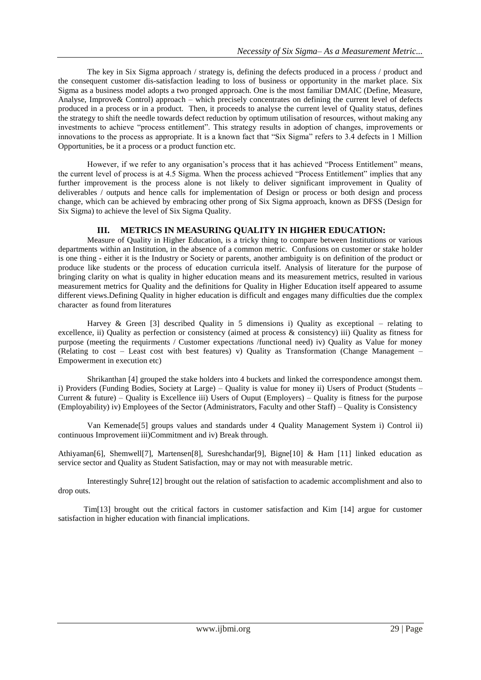The key in Six Sigma approach / strategy is, defining the defects produced in a process / product and the consequent customer dis-satisfaction leading to loss of business or opportunity in the market place. Six Sigma as a business model adopts a two pronged approach. One is the most familiar DMAIC (Define, Measure, Analyse, Improve& Control) approach – which precisely concentrates on defining the current level of defects produced in a process or in a product. Then, it proceeds to analyse the current level of Quality status, defines the strategy to shift the needle towards defect reduction by optimum utilisation of resources, without making any investments to achieve "process entitlement". This strategy results in adoption of changes, improvements or innovations to the process as appropriate. It is a known fact that "Six Sigma" refers to 3.4 defects in 1 Million Opportunities, be it a process or a product function etc.

However, if we refer to any organisation's process that it has achieved "Process Entitlement" means, the current level of process is at 4.5 Sigma. When the process achieved "Process Entitlement" implies that any further improvement is the process alone is not likely to deliver significant improvement in Quality of deliverables / outputs and hence calls for implementation of Design or process or both design and process change, which can be achieved by embracing other prong of Six Sigma approach, known as DFSS (Design for Six Sigma) to achieve the level of Six Sigma Quality.

## **III. METRICS IN MEASURING QUALITY IN HIGHER EDUCATION:**

Measure of Quality in Higher Education, is a tricky thing to compare between Institutions or various departments within an Institution, in the absence of a common metric. Confusions on customer or stake holder is one thing - either it is the Industry or Society or parents, another ambiguity is on definition of the product or produce like students or the process of education curricula itself. Analysis of literature for the purpose of bringing clarity on what is quality in higher education means and its measurement metrics, resulted in various measurement metrics for Quality and the definitions for Quality in Higher Education itself appeared to assume different views.Defining Quality in higher education is difficult and engages many difficulties due the complex character as found from literatures

Harvey & Green [3] described Quality in 5 dimensions i) Quality as exceptional – relating to excellence, ii) Quality as perfection or consistency (aimed at process & consistency) iii) Quality as fitness for purpose (meeting the requirments / Customer expectations /functional need) iv) Quality as Value for money (Relating to cost – Least cost with best features) v) Quality as Transformation (Change Management – Empowerment in execution etc)

Shrikanthan [4] grouped the stake holders into 4 buckets and linked the correspondence amongst them. i) Providers (Funding Bodies, Society at Large) – Quality is value for money ii) Users of Product (Students – Current & future) – Quality is Excellence iii) Users of Ouput (Employers) – Quality is fitness for the purpose (Employability) iv) Employees of the Sector (Administrators, Faculty and other Staff) – Quality is Consistency

Van Kemenade[5] groups values and standards under 4 Quality Management System i) Control ii) continuous Improvement iii)Commitment and iv) Break through.

Athiyaman[6], Shemwell[7], Martensen[8], Sureshchandar[9], Bigne[10] & Ham [11] linked education as service sector and Quality as Student Satisfaction, may or may not with measurable metric.

Interestingly Suhre[12] brought out the relation of satisfaction to academic accomplishment and also to drop outs.

Tim[13] brought out the critical factors in customer satisfaction and Kim [14] argue for customer satisfaction in higher education with financial implications.